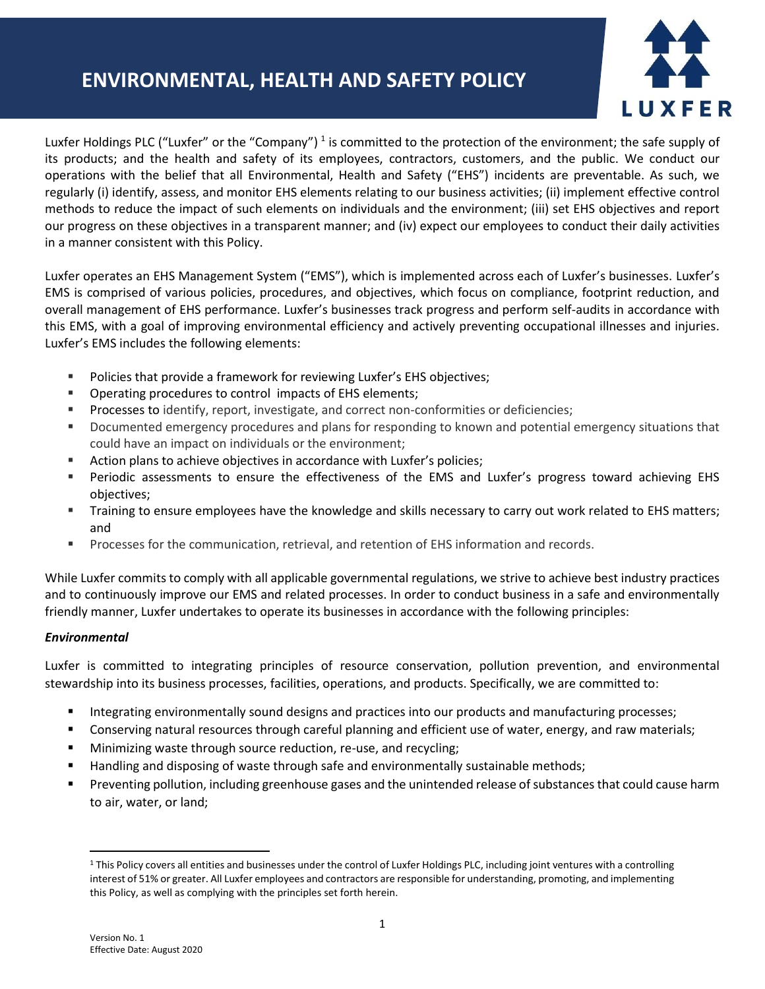## **ENVIRONMENTAL, HEALTH AND SAFETY POLICY**



Luxfer Holdings PLC ("Luxfer" or the "Company")<sup>1</sup> is committed to the protection of the environment; the safe supply of its products; and the health and safety of its employees, contractors, customers, and the public. We conduct our operations with the belief that all Environmental, Health and Safety ("EHS") incidents are preventable. As such, we regularly (i) identify, assess, and monitor EHS elements relating to our business activities; (ii) implement effective control methods to reduce the impact of such elements on individuals and the environment; (iii) set EHS objectives and report our progress on these objectives in a transparent manner; and (iv) expect our employees to conduct their daily activities in a manner consistent with this Policy.

Luxfer operates an EHS Management System ("EMS"), which is implemented across each of Luxfer's businesses. Luxfer's EMS is comprised of various policies, procedures, and objectives, which focus on compliance, footprint reduction, and overall management of EHS performance. Luxfer's businesses track progress and perform self-audits in accordance with this EMS, with a goal of improving environmental efficiency and actively preventing occupational illnesses and injuries. Luxfer's EMS includes the following elements:

- Policies that provide a framework for reviewing Luxfer's EHS objectives;
- Operating procedures to control impacts of EHS elements;
- **Processes to identify, report, investigate, and correct non-conformities or deficiencies;**
- **•** Documented emergency procedures and plans for responding to known and potential emergency situations that could have an impact on individuals or the environment;
- Action plans to achieve objectives in accordance with Luxfer's policies;
- Periodic assessments to ensure the effectiveness of the EMS and Luxfer's progress toward achieving EHS objectives;
- Training to ensure employees have the knowledge and skills necessary to carry out work related to EHS matters; and
- Processes for the communication, retrieval, and retention of EHS information and records.

While Luxfer commits to comply with all applicable governmental regulations, we strive to achieve best industry practices and to continuously improve our EMS and related processes. In order to conduct business in a safe and environmentally friendly manner, Luxfer undertakes to operate its businesses in accordance with the following principles:

## *Environmental*

Luxfer is committed to integrating principles of resource conservation, pollution prevention, and environmental stewardship into its business processes, facilities, operations, and products. Specifically, we are committed to:

- **■** Integrating environmentally sound designs and practices into our products and manufacturing processes;
- Conserving natural resources through careful planning and efficient use of water, energy, and raw materials;
- Minimizing waste through source reduction, re-use, and recycling;
- Handling and disposing of waste through safe and environmentally sustainable methods;
- Preventing pollution, including greenhouse gases and the unintended release of substances that could cause harm to air, water, or land;

<sup>1</sup> This Policy covers all entities and businesses under the control of Luxfer Holdings PLC, including joint ventures with a controlling interest of 51% or greater. All Luxfer employees and contractors are responsible for understanding, promoting, and implementing this Policy, as well as complying with the principles set forth herein.